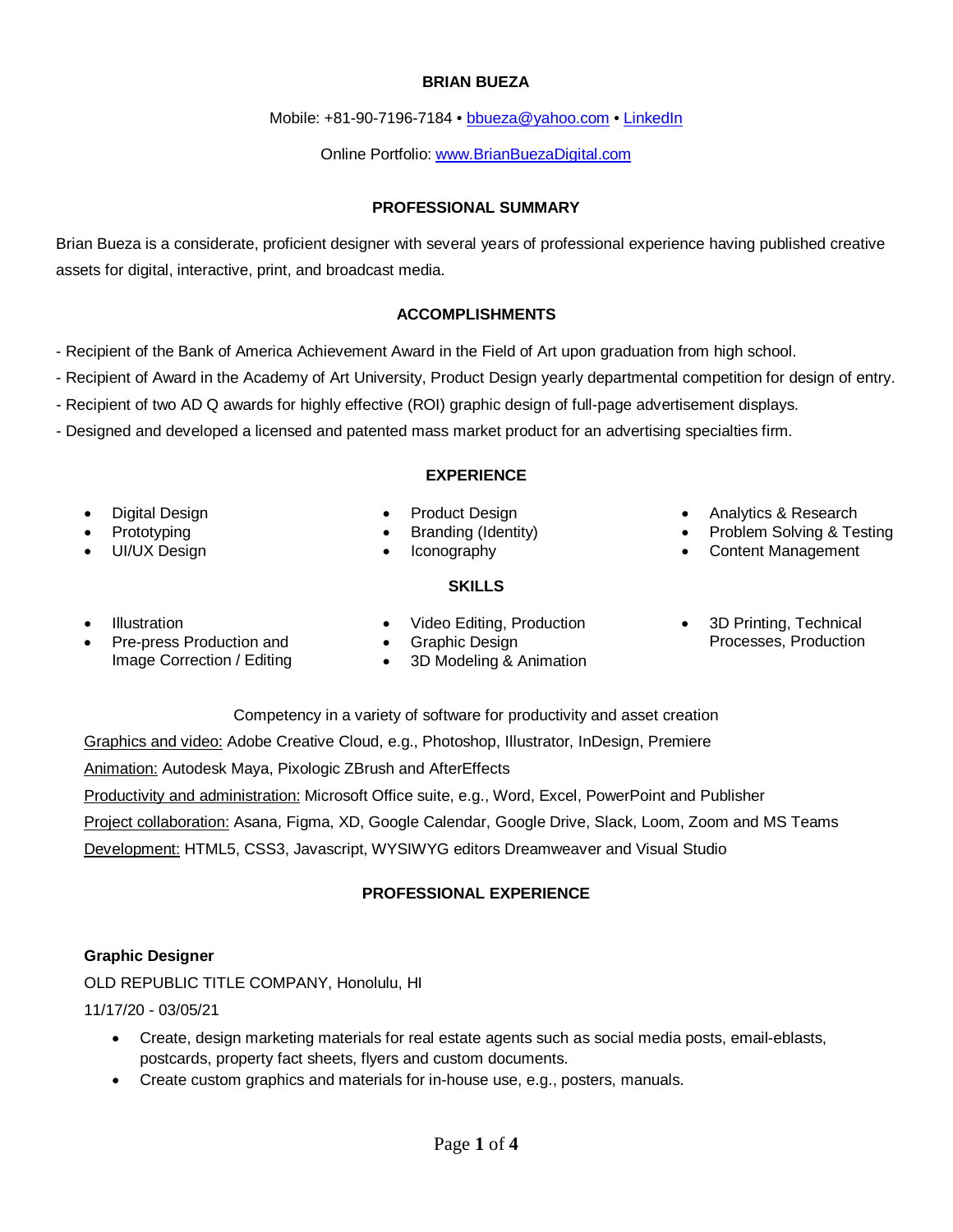Brian Bueza is a considerate, proficient designer with several years of professional experience having published creative assets for digital, interactive, print, and broadcast media.

## **ACCOMPLISHMENTS**

- Recipient of the Bank of America Achievement Award in the Field of Art upon graduation from high school.
- Recipient of Award in the Academy of Art University, Product Design yearly departmental competition for design of entry.
- Recipient of two AD Q awards for highly effective (ROI) graphic design of full-page advertisement displays.
- Designed and developed a licensed and patented mass market product for an advertising specialties firm.

#### **EXPERIENCE**

• Digital Design **Prototyping** 

• UI/UX Design

- Product Design
	- Branding (Identity)
		- Iconography

#### **SKILLS**

- Analytics & Research
- Problem Solving & Testing
- Content Management

- Illustration
- Pre-press Production and Image Correction / Editing
- Video Editing, Production
- Graphic Design
- 3D Printing, Technical Processes, Production
- 3D Modeling & Animation

Competency in a variety of software for productivity and asset creation Graphics and video: Adobe Creative Cloud, e.g., Photoshop, Illustrator, InDesign, Premiere Animation: Autodesk Maya, Pixologic ZBrush and AfterEffects Productivity and administration: Microsoft Office suite, e.g., Word, Excel, PowerPoint and Publisher Project collaboration: Asana, Figma, XD, Google Calendar, Google Drive, Slack, Loom, Zoom and MS Teams <u>Development:</u> HTML5, CSS3, Javascript, WYSIWYG editors Dreamweaver and Visual Studio

### **PROFESSIONAL EXPERIENCE**

### **Graphic Designer**

OLD REPUBLIC TITLE COMPANY, Honolulu, HI 11/17/20 - 03/05/21

- Create, design marketing materials for real estate agents such as social media posts, email-eblasts, postcards, property fact sheets, flyers and custom documents.
- Create custom graphics and materials for in-house use, e.g., posters, manuals.

#### **BRIAN BUEZA**

Mobile: +81-90-7196-7184 • [bbueza@yahoo.com](mailto:bbueza@yahoo.com) • [LinkedIn](http://www.linkedin.com/in/brian-bueza-0aa1034)

Online Portfolio: [www.BrianBuezaDigital.com](http://www.brianbuezadigital.com/)

**PROFESSIONAL SUMMARY**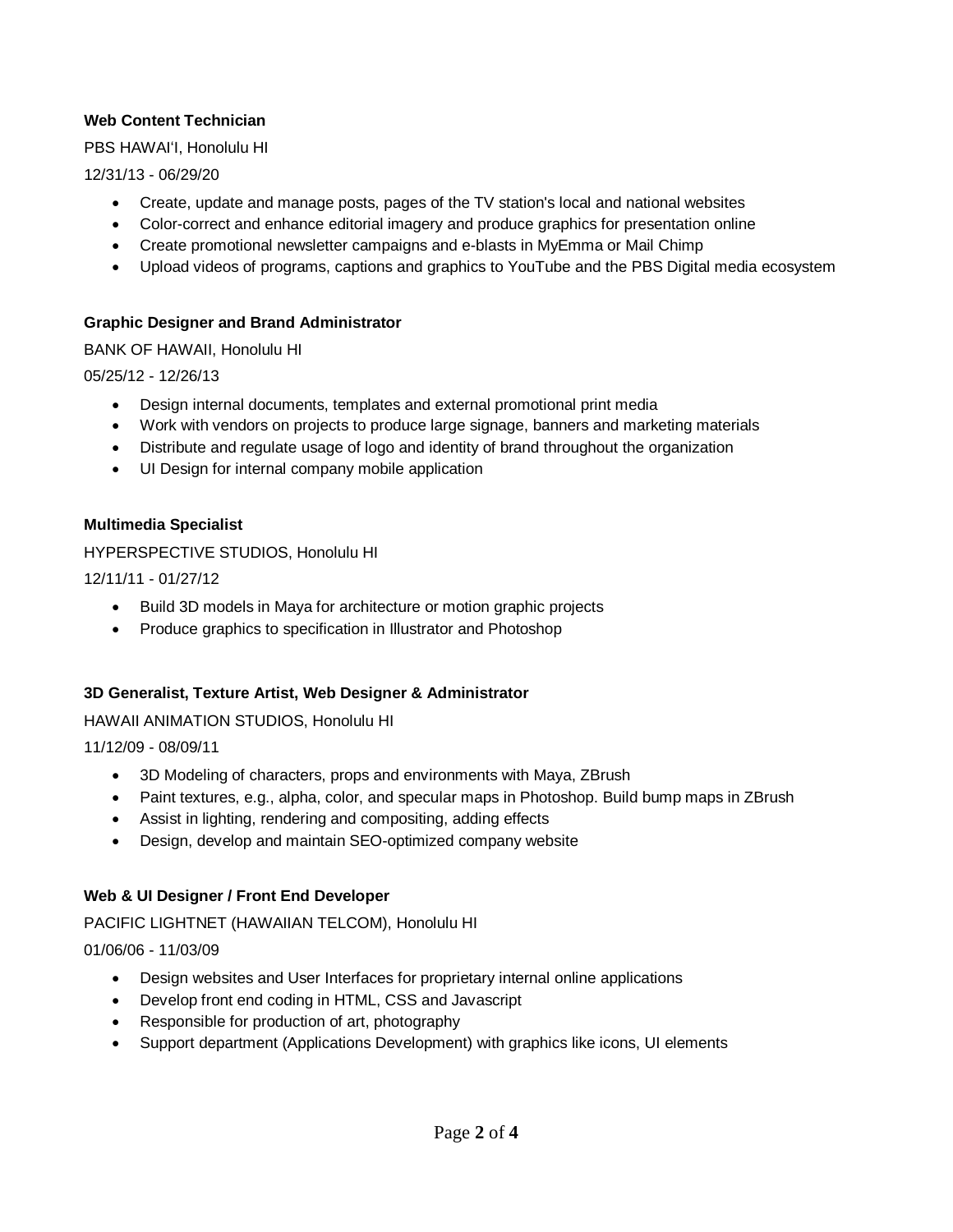# **Web Content Technician**

PBS HAWAIʻI, Honolulu HI

12/31/13 - 06/29/20

- Create, update and manage posts, pages of the TV station's local and national websites
- Color-correct and enhance editorial imagery and produce graphics for presentation online
- Create promotional newsletter campaigns and e-blasts in MyEmma or Mail Chimp
- Upload videos of programs, captions and graphics to YouTube and the PBS Digital media ecosystem

## **Graphic Designer and Brand Administrator**

BANK OF HAWAII, Honolulu HI

05/25/12 - 12/26/13

- Design internal documents, templates and external promotional print media
- Work with vendors on projects to produce large signage, banners and marketing materials
- Distribute and regulate usage of logo and identity of brand throughout the organization
- UI Design for internal company mobile application

## **Multimedia Specialist**

HYPERSPECTIVE STUDIOS, Honolulu HI

12/11/11 - 01/27/12

- Build 3D models in Maya for architecture or motion graphic projects
- Produce graphics to specification in Illustrator and Photoshop

### **3D Generalist, Texture Artist, Web Designer & Administrator**

HAWAII ANIMATION STUDIOS, Honolulu HI

11/12/09 - 08/09/11

- 3D Modeling of characters, props and environments with Maya, ZBrush
- Paint textures, e.g., alpha, color, and specular maps in Photoshop. Build bump maps in ZBrush
- Assist in lighting, rendering and compositing, adding effects
- Design, develop and maintain SEO-optimized company website

# **Web & UI Designer / Front End Developer**

PACIFIC LIGHTNET (HAWAIIAN TELCOM), Honolulu HI

01/06/06 - 11/03/09

- Design websites and User Interfaces for proprietary internal online applications
- Develop front end coding in HTML, CSS and Javascript
- Responsible for production of art, photography
- Support department (Applications Development) with graphics like icons, UI elements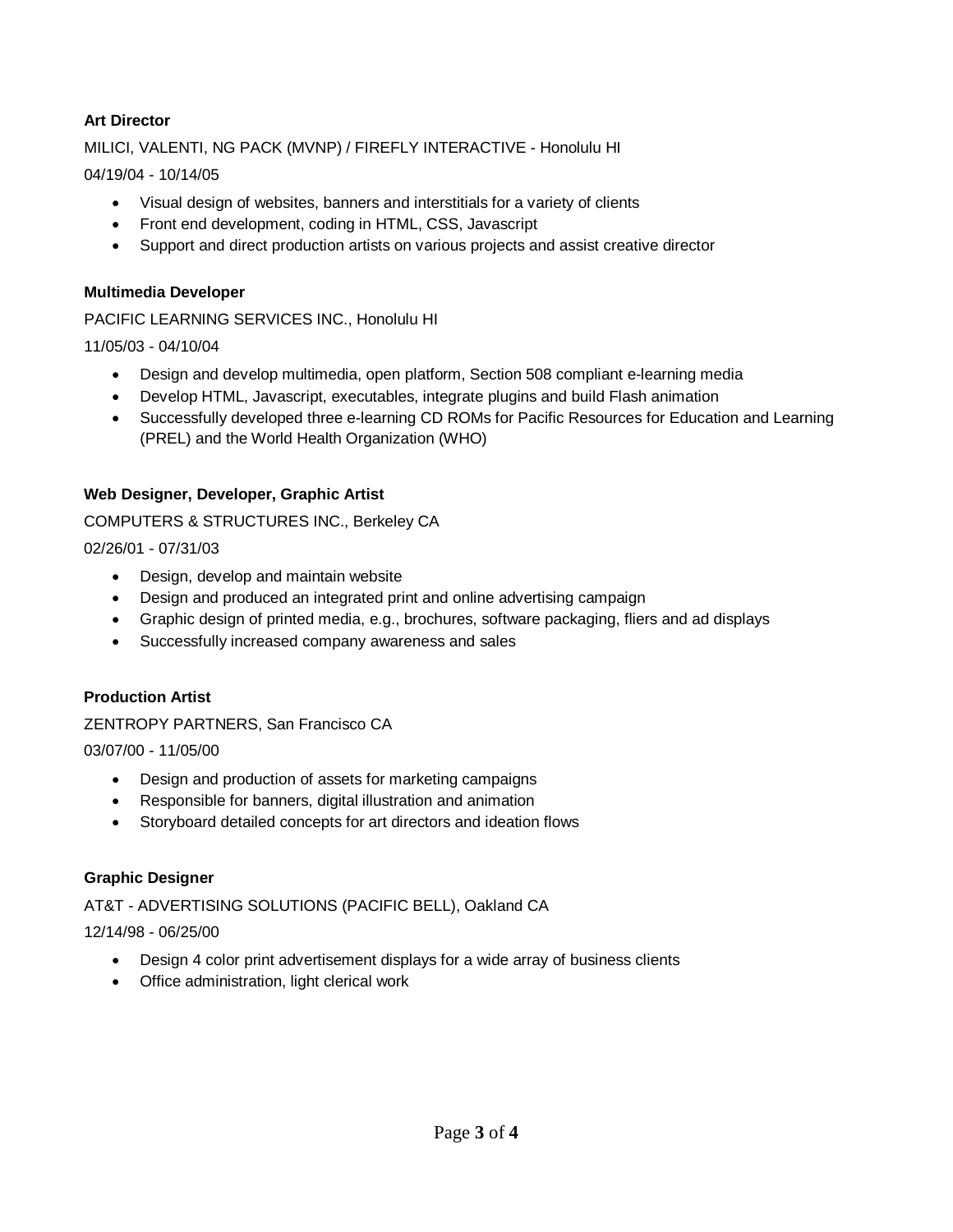# **Art Director**

MILICI, VALENTI, NG PACK (MVNP) / FIREFLY INTERACTIVE - Honolulu HI

04/19/04 - 10/14/05

- Visual design of websites, banners and interstitials for a variety of clients
- Front end development, coding in HTML, CSS, Javascript
- Support and direct production artists on various projects and assist creative director

## **Multimedia Developer**

PACIFIC LEARNING SERVICES INC., Honolulu HI

11/05/03 - 04/10/04

- Design and develop multimedia, open platform, Section 508 compliant e-learning media
- Develop HTML, Javascript, executables, integrate plugins and build Flash animation
- Successfully developed three e-learning CD ROMs for Pacific Resources for Education and Learning (PREL) and the World Health Organization (WHO)

## **Web Designer, Developer, Graphic Artist**

COMPUTERS & STRUCTURES INC., Berkeley CA

02/26/01 - 07/31/03

- Design, develop and maintain website
- Design and produced an integrated print and online advertising campaign
- Graphic design of printed media, e.g., brochures, software packaging, fliers and ad displays
- Successfully increased company awareness and sales

### **Production Artist**

ZENTROPY PARTNERS, San Francisco CA

03/07/00 - 11/05/00

- Design and production of assets for marketing campaigns
- Responsible for banners, digital illustration and animation
- Storyboard detailed concepts for art directors and ideation flows

# **Graphic Designer**

# AT&T - ADVERTISING SOLUTIONS (PACIFIC BELL), Oakland CA

12/14/98 - 06/25/00

- Design 4 color print advertisement displays for a wide array of business clients
- Office administration, light clerical work